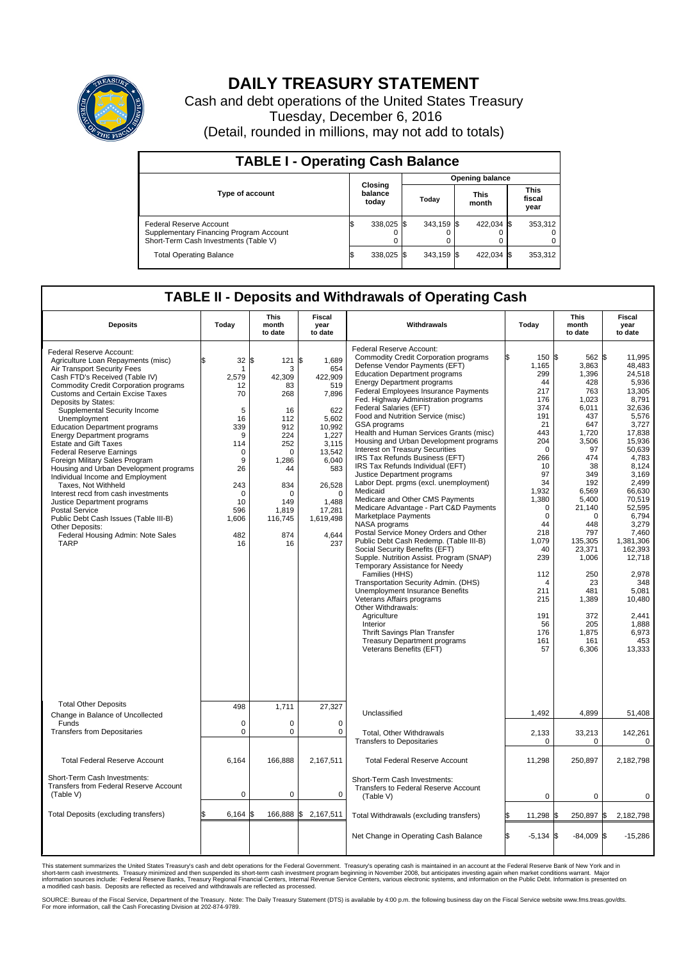

## **DAILY TREASURY STATEMENT**

Cash and debt operations of the United States Treasury Tuesday, December 6, 2016 (Detail, rounded in millions, may not add to totals)

| <b>TABLE I - Operating Cash Balance</b>                                                                     |  |                             |  |                        |  |                      |  |                               |  |  |  |
|-------------------------------------------------------------------------------------------------------------|--|-----------------------------|--|------------------------|--|----------------------|--|-------------------------------|--|--|--|
|                                                                                                             |  |                             |  | <b>Opening balance</b> |  |                      |  |                               |  |  |  |
| <b>Type of account</b>                                                                                      |  | Closing<br>balance<br>today |  | Todav                  |  | <b>This</b><br>month |  | <b>This</b><br>fiscal<br>year |  |  |  |
| Federal Reserve Account<br>Supplementary Financing Program Account<br>Short-Term Cash Investments (Table V) |  | 338,025 \$                  |  | $343.159$ \$           |  | 422.034 \$           |  | 353.312                       |  |  |  |
| <b>Total Operating Balance</b>                                                                              |  | 338,025 \$                  |  | $343.159$ \$           |  | 422,034 \$           |  | 353,312                       |  |  |  |

## **TABLE II - Deposits and Withdrawals of Operating Cash**

| <b>Deposits</b>                                                                                                                                                                                                                                                                                                                                                                                                                                                                                                                                                                                                                                                                                                                                                                                  | Today                                                                                                                                                       | <b>This</b><br>month<br>to date                                                                                                                               | <b>Fiscal</b><br>year<br>to date                                                                                                                                                          | Withdrawals                                                                                                                                                                                                                                                                                                                                                                                                                                                                                                                                                                                                                                                                                                                                                                                                                                                                                                                                                                                                                                                                                                                                                                                                                                    | Today                                                                                                                                                                                                                                                                        | <b>This</b><br>month<br>to date                                                                                                                                                                                                                                                   | Fiscal<br>year<br>to date                                                                                                                                                                                                                                                                                                      |
|--------------------------------------------------------------------------------------------------------------------------------------------------------------------------------------------------------------------------------------------------------------------------------------------------------------------------------------------------------------------------------------------------------------------------------------------------------------------------------------------------------------------------------------------------------------------------------------------------------------------------------------------------------------------------------------------------------------------------------------------------------------------------------------------------|-------------------------------------------------------------------------------------------------------------------------------------------------------------|---------------------------------------------------------------------------------------------------------------------------------------------------------------|-------------------------------------------------------------------------------------------------------------------------------------------------------------------------------------------|------------------------------------------------------------------------------------------------------------------------------------------------------------------------------------------------------------------------------------------------------------------------------------------------------------------------------------------------------------------------------------------------------------------------------------------------------------------------------------------------------------------------------------------------------------------------------------------------------------------------------------------------------------------------------------------------------------------------------------------------------------------------------------------------------------------------------------------------------------------------------------------------------------------------------------------------------------------------------------------------------------------------------------------------------------------------------------------------------------------------------------------------------------------------------------------------------------------------------------------------|------------------------------------------------------------------------------------------------------------------------------------------------------------------------------------------------------------------------------------------------------------------------------|-----------------------------------------------------------------------------------------------------------------------------------------------------------------------------------------------------------------------------------------------------------------------------------|--------------------------------------------------------------------------------------------------------------------------------------------------------------------------------------------------------------------------------------------------------------------------------------------------------------------------------|
| Federal Reserve Account:<br>Agriculture Loan Repayments (misc)<br>Air Transport Security Fees<br>Cash FTD's Received (Table IV)<br><b>Commodity Credit Corporation programs</b><br>Customs and Certain Excise Taxes<br>Deposits by States:<br>Supplemental Security Income<br>Unemployment<br><b>Education Department programs</b><br><b>Energy Department programs</b><br><b>Estate and Gift Taxes</b><br><b>Federal Reserve Earnings</b><br>Foreign Military Sales Program<br>Housing and Urban Development programs<br>Individual Income and Employment<br>Taxes, Not Withheld<br>Interest recd from cash investments<br>Justice Department programs<br><b>Postal Service</b><br>Public Debt Cash Issues (Table III-B)<br>Other Deposits:<br>Federal Housing Admin: Note Sales<br><b>TARP</b> | 32<br>\$<br>$\mathbf{1}$<br>2,579<br>12<br>70<br>5<br>16<br>339<br>9<br>114<br>$\mathbf 0$<br>9<br>26<br>243<br>$\Omega$<br>10<br>596<br>1,606<br>482<br>16 | \$<br>121<br>3<br>42,309<br>83<br>268<br>16<br>112<br>912<br>224<br>252<br>$\Omega$<br>1,286<br>44<br>834<br>$\Omega$<br>149<br>1,819<br>116,745<br>874<br>16 | \$<br>1,689<br>654<br>422,909<br>519<br>7,896<br>622<br>5,602<br>10,992<br>1,227<br>3.115<br>13,542<br>6,040<br>583<br>26,528<br>$\Omega$<br>1,488<br>17,281<br>1,619,498<br>4,644<br>237 | Federal Reserve Account:<br><b>Commodity Credit Corporation programs</b><br>Defense Vendor Payments (EFT)<br><b>Education Department programs</b><br><b>Energy Department programs</b><br><b>Federal Employees Insurance Payments</b><br>Fed. Highway Administration programs<br>Federal Salaries (EFT)<br>Food and Nutrition Service (misc)<br>GSA programs<br>Health and Human Services Grants (misc)<br>Housing and Urban Development programs<br>Interest on Treasury Securities<br>IRS Tax Refunds Business (EFT)<br>IRS Tax Refunds Individual (EFT)<br>Justice Department programs<br>Labor Dept. prgms (excl. unemployment)<br>Medicaid<br>Medicare and Other CMS Payments<br>Medicare Advantage - Part C&D Payments<br>Marketplace Payments<br>NASA programs<br>Postal Service Money Orders and Other<br>Public Debt Cash Redemp. (Table III-B)<br>Social Security Benefits (EFT)<br>Supple. Nutrition Assist. Program (SNAP)<br>Temporary Assistance for Needy<br>Families (HHS)<br>Transportation Security Admin. (DHS)<br>Unemployment Insurance Benefits<br>Veterans Affairs programs<br>Other Withdrawals:<br>Agriculture<br>Interior<br>Thrift Savings Plan Transfer<br>Treasury Department programs<br>Veterans Benefits (EFT) | 150 \$<br>1,165<br>299<br>44<br>217<br>176<br>374<br>191<br>21<br>443<br>204<br>$\Omega$<br>266<br>10<br>97<br>34<br>1,932<br>1,380<br>$\mathbf 0$<br>$\mathbf 0$<br>44<br>218<br>1,079<br>40<br>239<br>112<br>$\overline{4}$<br>211<br>215<br>191<br>56<br>176<br>161<br>57 | 562 \$<br>3,863<br>1,396<br>428<br>763<br>1,023<br>6,011<br>437<br>647<br>1,720<br>3,506<br>97<br>474<br>38<br>349<br>192<br>6,569<br>5.400<br>21,140<br>$\Omega$<br>448<br>797<br>135,305<br>23,371<br>1,006<br>250<br>23<br>481<br>1,389<br>372<br>205<br>1,875<br>161<br>6,306 | 11.995<br>48.483<br>24,518<br>5,936<br>13.305<br>8,791<br>32.636<br>5,576<br>3.727<br>17,838<br>15,936<br>50.639<br>4,783<br>8.124<br>3,169<br>2.499<br>66,630<br>70,519<br>52.595<br>6,794<br>3.279<br>7,460<br>1,381,306<br>162,393<br>12,718<br>2,978<br>348<br>5,081<br>10,480<br>2.441<br>1.888<br>6,973<br>453<br>13,333 |
| <b>Total Other Deposits</b><br>Change in Balance of Uncollected                                                                                                                                                                                                                                                                                                                                                                                                                                                                                                                                                                                                                                                                                                                                  | 498                                                                                                                                                         | 1,711                                                                                                                                                         | 27,327                                                                                                                                                                                    | Unclassified                                                                                                                                                                                                                                                                                                                                                                                                                                                                                                                                                                                                                                                                                                                                                                                                                                                                                                                                                                                                                                                                                                                                                                                                                                   | 1,492                                                                                                                                                                                                                                                                        | 4,899                                                                                                                                                                                                                                                                             | 51,408                                                                                                                                                                                                                                                                                                                         |
| Funds<br><b>Transfers from Depositaries</b>                                                                                                                                                                                                                                                                                                                                                                                                                                                                                                                                                                                                                                                                                                                                                      | $\mathbf 0$<br>$\mathbf 0$                                                                                                                                  | 0<br>0                                                                                                                                                        | $\mathbf 0$<br>$\mathbf 0$                                                                                                                                                                | Total, Other Withdrawals<br><b>Transfers to Depositaries</b>                                                                                                                                                                                                                                                                                                                                                                                                                                                                                                                                                                                                                                                                                                                                                                                                                                                                                                                                                                                                                                                                                                                                                                                   | 2,133<br>0                                                                                                                                                                                                                                                                   | 33,213<br>0                                                                                                                                                                                                                                                                       | 142,261<br>0                                                                                                                                                                                                                                                                                                                   |
| <b>Total Federal Reserve Account</b>                                                                                                                                                                                                                                                                                                                                                                                                                                                                                                                                                                                                                                                                                                                                                             | 6.164                                                                                                                                                       | 166.888                                                                                                                                                       | 2,167,511                                                                                                                                                                                 | <b>Total Federal Reserve Account</b>                                                                                                                                                                                                                                                                                                                                                                                                                                                                                                                                                                                                                                                                                                                                                                                                                                                                                                                                                                                                                                                                                                                                                                                                           | 11,298                                                                                                                                                                                                                                                                       | 250.897                                                                                                                                                                                                                                                                           | 2.182.798                                                                                                                                                                                                                                                                                                                      |
| Short-Term Cash Investments:<br><b>Transfers from Federal Reserve Account</b><br>(Table V)                                                                                                                                                                                                                                                                                                                                                                                                                                                                                                                                                                                                                                                                                                       | $\mathbf 0$                                                                                                                                                 | 0                                                                                                                                                             | $\mathbf 0$                                                                                                                                                                               | Short-Term Cash Investments:<br>Transfers to Federal Reserve Account<br>(Table V)                                                                                                                                                                                                                                                                                                                                                                                                                                                                                                                                                                                                                                                                                                                                                                                                                                                                                                                                                                                                                                                                                                                                                              | 0                                                                                                                                                                                                                                                                            | $\mathbf 0$                                                                                                                                                                                                                                                                       | 0                                                                                                                                                                                                                                                                                                                              |
| Total Deposits (excluding transfers)                                                                                                                                                                                                                                                                                                                                                                                                                                                                                                                                                                                                                                                                                                                                                             | 6,164                                                                                                                                                       | 166,888                                                                                                                                                       | \$<br>2,167,511                                                                                                                                                                           | Total Withdrawals (excluding transfers)                                                                                                                                                                                                                                                                                                                                                                                                                                                                                                                                                                                                                                                                                                                                                                                                                                                                                                                                                                                                                                                                                                                                                                                                        | 11,298 \$                                                                                                                                                                                                                                                                    | 250,897 \$                                                                                                                                                                                                                                                                        | 2,182,798                                                                                                                                                                                                                                                                                                                      |
|                                                                                                                                                                                                                                                                                                                                                                                                                                                                                                                                                                                                                                                                                                                                                                                                  |                                                                                                                                                             |                                                                                                                                                               |                                                                                                                                                                                           | Net Change in Operating Cash Balance                                                                                                                                                                                                                                                                                                                                                                                                                                                                                                                                                                                                                                                                                                                                                                                                                                                                                                                                                                                                                                                                                                                                                                                                           | l\$<br>$-5,134$ \$                                                                                                                                                                                                                                                           | $-84,009$ \$                                                                                                                                                                                                                                                                      | $-15,286$                                                                                                                                                                                                                                                                                                                      |

This statement summarizes the United States Treasury's cash and debt operations for the Federal Government. Treasury's operating cash is maintained in an account at the Federal Reserve Bank of New York and in<br>short-term ca

SOURCE: Bureau of the Fiscal Service, Department of the Treasury. Note: The Daily Treasury Statement (DTS) is available by 4:00 p.m. the following business day on the Fiscal Service website www.fms.treas.gov/dts.<br>For more